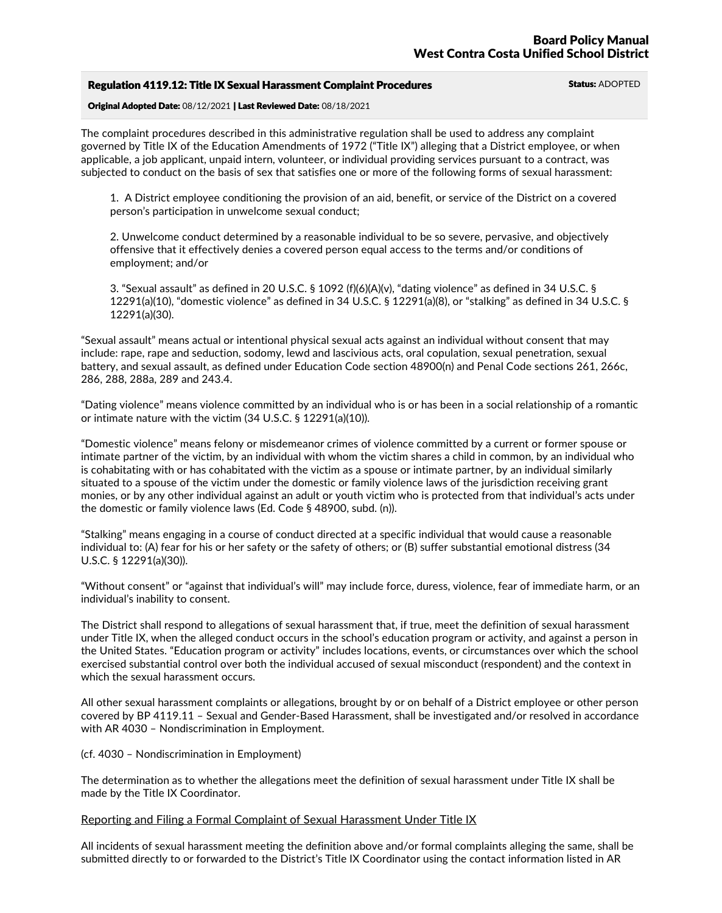| <b>Regulation 4119.12: Title IX Sexual Harassment Complaint Procedures</b> | <b>Status: ADOPTED</b> |
|----------------------------------------------------------------------------|------------------------|
|                                                                            |                        |

Original Adopted Date: 08/12/2021 | Last Reviewed Date: 08/18/2021

The complaint procedures described in this administrative regulation shall be used to address any complaint governed by Title IX of the Education Amendments of 1972 ("Title IX") alleging that a District employee, or when applicable, a job applicant, unpaid intern, volunteer, or individual providing services pursuant to a contract, was subjected to conduct on the basis of sex that satisfies one or more of the following forms of sexual harassment:

1. A District employee conditioning the provision of an aid, benefit, or service of the District on a covered person's participation in unwelcome sexual conduct;

2. Unwelcome conduct determined by a reasonable individual to be so severe, pervasive, and objectively offensive that it effectively denies a covered person equal access to the terms and/or conditions of employment; and/or

3. "Sexual assault" as defined in 20 U.S.C. § 1092 (f)(6)(A)(v), "dating violence" as defined in 34 U.S.C. § 12291(a)(10), "domestic violence" as defined in 34 U.S.C. § 12291(a)(8), or "stalking" as defined in 34 U.S.C. § 12291(a)(30).

"Sexual assault" means actual or intentional physical sexual acts against an individual without consent that may include: rape, rape and seduction, sodomy, lewd and lascivious acts, oral copulation, sexual penetration, sexual battery, and sexual assault, as defined under Education Code section 48900(n) and Penal Code sections 261, 266c,<br>286, 288, 288a, 289 and 243.4.

"Dating violence" means violence committed by an individual who is or has been in a social relationship of a romantic or intimate nature with the victim (34 U.S.C. § 12291(a)(10)).

"Domestic violence" means felony or misdemeanor crimes of violence committed by a current or former spouse or intimate partner of the victim, by an individual with whom the victim shares a child in common, by an individual who is cohabitating with or has cohabitated with the victim as a spouse or intimate partner, by an individual similarly situated to a spouse of the victim under the domestic or family violence laws of the jurisdiction receiving grant monies, or by any other individual against an adult or youth victim who is protected from that individual's acts under the domestic or family violence laws (Ed. Code § 48900, subd. (n)).

"Stalking" means engaging in a course of conduct directed at a specific individual that would cause a reasonable individual to: (A) fear for his or her safety or the safety of others; or (B) suffer substantial emotional distress (34 U.S.C. § 12291(a)(30)).

"Without consent" or "against that individual's will" may include force, duress, violence, fear of immediate harm, or an individual's inability to consent.

The District shall respond to allegations of sexual harassment that, if true, meet the definition of sexual harassment under Title IX, when the alleged conduct occurs in the school's education program or activity, and against a person in the United States. "Education program or activity" includes locations, events, or circumstances over which the school exercised substantial control over both the individual accused of sexual misconduct (respondent) and the context in which the sexual harassment occurs.

All other sexual harassment complaints or allegations, brought by or on behalf of a District employee or other person covered by BP 4119.11 – Sexual and Gender-Based Harassment, shall be investigated and/or resolved in accordance with AR 4030 – Nondiscrimination in Employment.

(cf. 4030 – Nondiscrimination in Employment)

The determination as to whether the allegations meet the definition of sexual harassment under Title IX shall be made by the Title IX Coordinator.

# Reporting and Filing a Formal Complaint of Sexual Harassment Under Title IX

All incidents of sexual harassment meeting the definition above and/or formal complaints alleging the same, shall be submitted directly to or forwarded to the District's Title IX Coordinator using the contact information listed in AR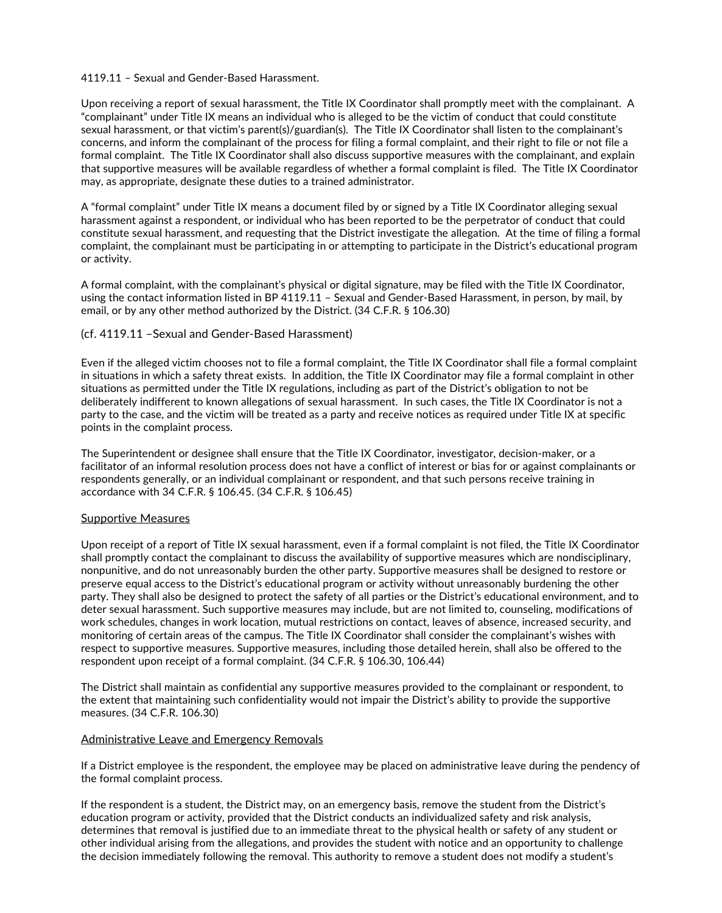## 4119.11 – Sexual and Gender-Based Harassment.

Upon receiving a report of sexual harassment, the Title IX Coordinator shall promptly meet with the complainant. A "complainant" under Title IX means an individual who is alleged to be the victim of conduct that could constitute sexual harassment, or that victim's parent(s)/guardian(s). The Title IX Coordinator shall listen to the complainant's concerns, and inform the complainant of the process for filing a formal complaint, and their right to file or not file a formal complaint. The Title IX Coordinator shall also discuss supportive measures with the complainant, and explain that supportive measures will be available regardless of whether a formal complaint is filed. The Title IX Coordinator may, as appropriate, designate these duties to a trained administrator.

A "formal complaint" under Title IX means a document filed by or signed by a Title IX Coordinator alleging sexual harassment against a respondent, or individual who has been reported to be the perpetrator of conduct that could constitute sexual harassment, and requesting that the District investigate the allegation. At the time of filing a formal complaint, the complainant must be participating in or attempting to participate in the District's educational program or activity.

A formal complaint, with the complainant's physical or digital signature, may be filed with the Title IX Coordinator,<br>using the contact information listed in BP 4119.11 – Sexual and Gender-Based Harassment, in person, by m email, or by any other method authorized by the District. (34 C.F.R. § 106.30)

## (cf. 4119.11 –Sexual and Gender-Based Harassment)

Even if the alleged victim chooses not to file a formal complaint, the Title IX Coordinator shall file a formal complaint in situations in which a safety threat exists. In addition, the Title IX Coordinator may file a formal complaint in other situations as permitted under the Title IX regulations, including as part of the District's obligation to not be deliberately indifferent to known allegations of sexual harassment. In such cases, the Title IX Coordinator is not a party to the case, and the victim will be treated as a party and receive notices as required under Title IX at specific points in the complaint process.

The Superintendent or designee shall ensure that the Title IX Coordinator, investigator, decision-maker, or a facilitator of an informal resolution process does not have a conflict of interest or bias for or against complainants or respondents generally, or an individual complainant or respondent, and that such persons receive training in accordance with 34 C.F.R. § 106.45. (34 C.F.R. § 106.45)

#### Supportive Measures

Upon receipt of a report of Title IX sexual harassment, even if a formal complaint is not filed, the Title IX Coordinator shall promptly contact the complainant to discuss the availability of supportive measures which are nondisciplinary, nonpunitive, and do not unreasonably burden the other party. Supportive measures shall be designed to restore or preserve equal access to the District's educational program or activity without unreasonably burdening the other party. They shall also be designed to protect the safety of all parties or the District's educational environment, and to deter sexual harassment. Such supportive measures may include, but are not limited to, counseling, modifications of work schedules, changes in work location, mutual restrictions on contact, leaves of absence, increased security, and monitoring of certain areas of the campus. The Title IX Coordinator shall consider the complainant's wishes with respect to supportive measures. Supportive measures, including those detailed herein, shall also be offered to the respondent upon receipt of a formal complaint. (34 C.F.R. § 106.30, 106.44)

The District shall maintain as confidential any supportive measures provided to the complainant or respondent, to the extent that maintaining such confidentiality would not impair the District's ability to provide the supportive measures. (34 C.F.R. 106.30)

# Administrative Leave and Emergency Removals

If a District employee is the respondent, the employee may be placed on administrative leave during the pendency of the formal complaint process.

If the respondent is a student, the District may, on an emergency basis, remove the student from the District's education program or activity, provided that the District conducts an individualized safety and risk analysis, determines that removal is justified due to an immediate threat to the physical health or safety of any student or other individual arising from the allegations, and provides the student with notice and an opportunity to challenge the decision immediately following the removal. This authority to remove a student does not modify a student's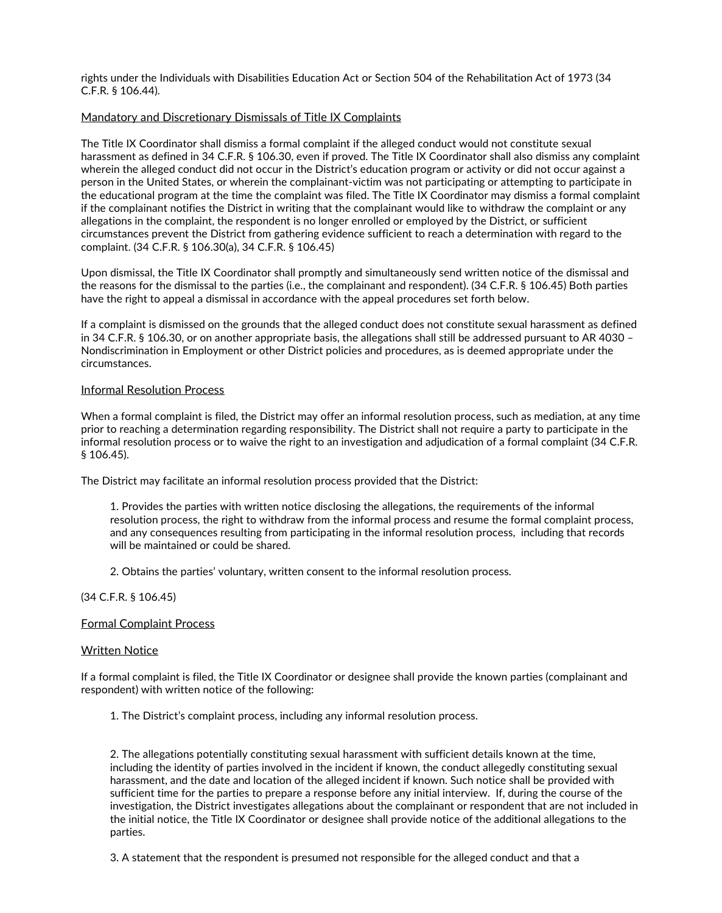rights under the Individuals with Disabilities Education Act or Section 504 of the Rehabilitation Act of 1973 (34 C.F.R. § 106.44).

# Mandatory and Discretionary Dismissals of Title IX Complaints

The Title IX Coordinator shall dismiss a formal complaint if the alleged conduct would not constitute sexual harassment as defined in 34 C.F.R. § 106.30, even if proved. The Title IX Coordinator shall also dismiss any complaint wherein the alleged conduct did not occur in the District's education program or activity or did not occur against a person in the United States, or wherein the complainant-victim was not participating or attempting to participate in the educational program at the time the complaint was filed. The Title IX Coordinator may dismiss a formal complaint if the complainant notifies the District in writing that the complainant would like to withdraw the complaint or any allegations in the complaint, the respondent is no longer enrolled or employed by the District, or sufficient circumstances prevent the District from gathering evidence sufficient to reach a determination with regard to the complaint. (34 C.F.R. § 106.30(a), 34 C.F.R. § 106.45)

Upon dismissal, the Title IX Coordinator shall promptly and simultaneously send written notice of the dismissal and the reasons for the dismissal to the parties (i.e., the complainant and respondent). (34 C.F.R. § 106.45) Both parties have the right to appeal a dismissal in accordance with the appeal procedures set forth below.

If a complaint is dismissed on the grounds that the alleged conduct does not constitute sexual harassment as defined in 34 C.F.R. § 106.30, or on another appropriate basis, the allegations shall still be addressed pursuant to AR 4030 – Nondiscrimination in Employment or other District policies and procedures, as is deemed appropriate under the circumstances.

#### Informal Resolution Process

When a formal complaint is filed, the District may offer an informal resolution process, such as mediation, at any time prior to reaching a determination regarding responsibility. The District shall not require a party to participate in the informal resolution process or to waive the right to an investigation and adjudication of a formal complaint (34 C.F.R. § 106.45).

The District may facilitate an informal resolution process provided that the District:

1. Provides the parties with written notice disclosing the allegations, the requirements of the informal resolution process, the right to withdraw from the informal process and resume the formal complaint process, and any consequences resulting from participating in the informal resolution process, including that records will be maintained or could be shared.

2. Obtains the parties' voluntary, written consent to the informal resolution process.

# (34 C.F.R. § 106.45)

# Formal Complaint Process

#### Written Notice

If a formal complaint is filed, the Title IX Coordinator or designee shall provide the known parties (complainant and respondent) with written notice of the following:

1. The District's complaint process, including any informal resolution process.

2. The allegations potentially constituting sexual harassment with sufficient details known at the time, including the identity of parties involved in the incident if known, the conduct allegedly constituting sexual harassment, and the date and location of the alleged incident if known. Such notice shall be provided with sufficient time for the parties to prepare a response before any initial interview. If, during the course of the investigation, the District investigates allegations about the complainant or respondent that are not included in the initial notice, the Title IX Coordinator or designee shall provide notice of the additional allegations to the parties.

3. A statement that the respondent is presumed not responsible for the alleged conduct and that a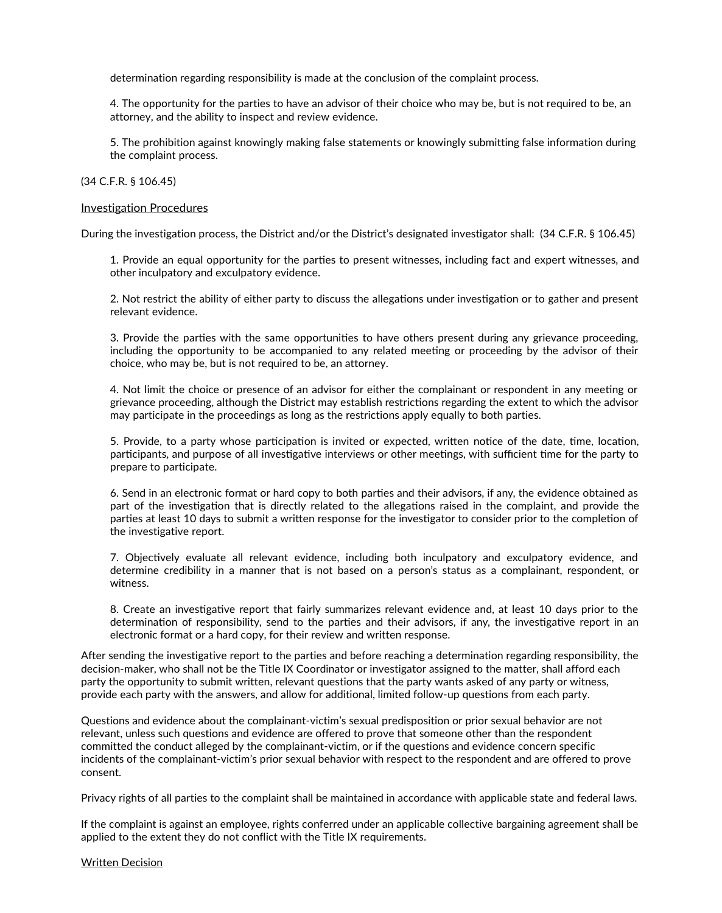determination regarding responsibility is made at the conclusion of the complaint process.

4. The opportunity for the parties to have an advisor of their choice who may be, but is not required to be, an attorney, and the ability to inspect and review evidence.

5. The prohibition against knowingly making false statements or knowingly submitting false information during the complaint process.

#### (34 C.F.R. § 106.45)

#### Investigation Procedures

During the investigation process, the District and/or the District's designated investigator shall: (34 C.F.R. § 106.45)

1. Provide an equal opportunity for the parties to present witnesses, including fact and expert witnesses, and other inculpatory and exculpatory evidence.

2. Not restrict the ability of either party to discuss the allegations under investigation or to gather and present relevant evidence.

3. Provide the parties with the same opportunities to have others present during any grievance proceeding, including the opportunity to be accompanied to any related meeting or proceeding by the advisor of their choice, who may be, but is not required to be, an attorney.

4. Not limit the choice or presence of an advisor for either the complainant or respondent in any meeting or grievance proceeding, although the District may establish restrictions regarding the extent to which the advisor may participate in the proceedings as long as the restrictions apply equally to both parties.

5. Provide, to a party whose participation is invited or expected, written notice of the date, time, location,<br>participants, and purpose of all investigative interviews or other meetings, with sufficient time for the party prepare to participate.

6. Send in an electronic format or hard copy to both parties and their advisors, if any, the evidence obtained as part of the investigation that is directly related to the allegations raised in the complaint, and provide the parties at least 10 days to submit a written response for the investigator to consider prior to the completion of the investigative report.

7. Objectively evaluate all relevant evidence, including both inculpatory and exculpatory evidence, and determine credibility in a manner that is not based on a person's status as a complainant, respondent, or witness.

8. Create an investigative report that fairly summarizes relevant evidence and, at least 10 days prior to the determination of responsibility, send to the parties and their advisors, if any, the investigative report in an electronic format or a hard copy, for their review and written response.

After sending the investigative report to the parties and before reaching a determination regarding responsibility, the decision-maker, who shall not be the Title IX Coordinator or investigator assigned to the matter, shall afford each party the opportunity to submit written, relevant questions that the party wants asked of any party or witness, provide each party with the answers, and allow for additional, limited follow-up questions from each party.

Questions and evidence about the complainant-victim's sexual predisposition or prior sexual behavior are not relevant, unless such questions and evidence are offered to prove that someone other than the respondent committed the conduct alleged by the complainant-victim, or if the questions and evidence concern specific incidents of the complainant-victim's prior sexual behavior with respect to the respondent and are offered to prove consent.

Privacy rights of all parties to the complaint shall be maintained in accordance with applicable state and federal laws.

If the complaint is against an employee, rights conferred under an applicable collective bargaining agreement shall be applied to the extent they do not conflict with the Title IX requirements.

Written Decision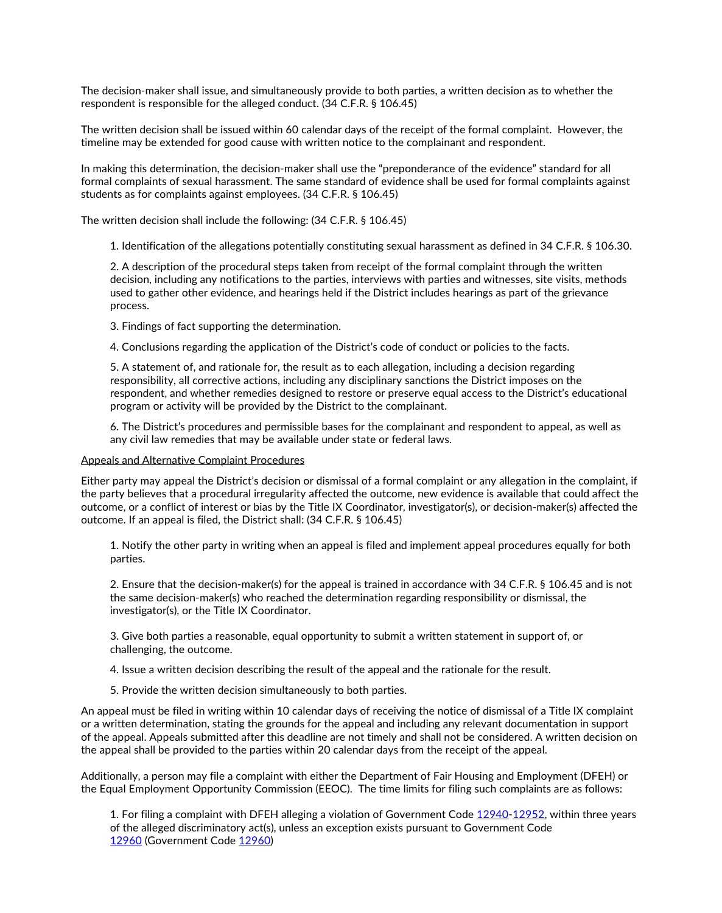The decision-maker shall issue, and simultaneously provide to both parties, a written decision as to whether the respondent is responsible for the alleged conduct. (34 C.F.R. § 106.45)

The written decision shall be issued within 60 calendar days of the receipt of the formal complaint. However, the timeline may be extended for good cause with written notice to the complainant and respondent.

In making this determination, the decision-maker shall use the "preponderance of the evidence" standard for all formal complaints of sexual harassment. The same standard of evidence shall be used for formal complaints against students as for complaints against employees. (34 C.F.R. § 106.45)

The written decision shall include the following: (34 C.F.R. § 106.45)

1. Identification of the allegations potentially constituting sexual harassment as defined in 34 C.F.R. § 106.30.

2. A description of the procedural steps taken from receipt of the formal complaint through the written decision, including any notifications to the parties, interviews with parties and witnesses, site visits, methods used to gather other evidence, and hearings held if the District includes hearings as part of the grievance process.

3. Findings of fact supporting the determination.

4. Conclusions regarding the application of the District's code of conduct or policies to the facts.

5. A statement of, and rationale for, the result as to each allegation, including a decision regarding responsibility, all corrective actions, including any disciplinary sanctions the District imposes on the respondent, and whether remedies designed to restore or preserve equal access to the District's educational program or activity will be provided by the District to the complainant.

6. The District's procedures and permissible bases for the complainant and respondent to appeal, as well as any civil law remedies that may be available under state or federal laws.

## Appeals and Alternative Complaint Procedures

Either party may appeal the District's decision or dismissal of a formal complaint or any allegation in the complaint, if the party believes that a procedural irregularity affected the outcome, new evidence is available that could affect the outcome, or a conflict of interest or bias by the Title IX Coordinator, investigator(s), or decision-maker(s) affected the outcome. If an appeal is filed, the District shall: (34 C.F.R. § 106.45)

1. Notify the other party in writing when an appeal is filed and implement appeal procedures equally for both parties.

2. Ensure that the decision-maker(s) for the appeal is trained in accordance with 34 C.F.R. § 106.45 and is not the same decision-maker(s) who reached the determination regarding responsibility or dismissal, the investigator(s), or the Title IX Coordinator.

3. Give both parties a reasonable, equal opportunity to submit a written statement in support of, or challenging, the outcome.

4. Issue a written decision describing the result of the appeal and the rationale for the result.

5. Provide the written decision simultaneously to both parties.

An appeal must be filed in writing within 10 calendar days of receiving the notice of dismissal of a Title IX complaint or a written determination, stating the grounds for the appeal and including any relevant documentation in support of the appeal. Appeals submitted after this deadline are not timely and shall not be considered. A written decision on the appeal shall be provided to the parties within 20 calendar days from the receipt of the appeal.

Additionally, a person may file a complaint with either the Department of Fair Housing and Employment (DFEH) or the Equal Employment Opportunity Commission (EEOC). The time limits for filing such complaints are as follows:

1. For filing a complaint with DFEH alleging a violation of Government Code 12940-12952, within three years of the alleged discriminatory act(s), unless an exception exists pursuant to Government Code 12960 (Government Code 12960)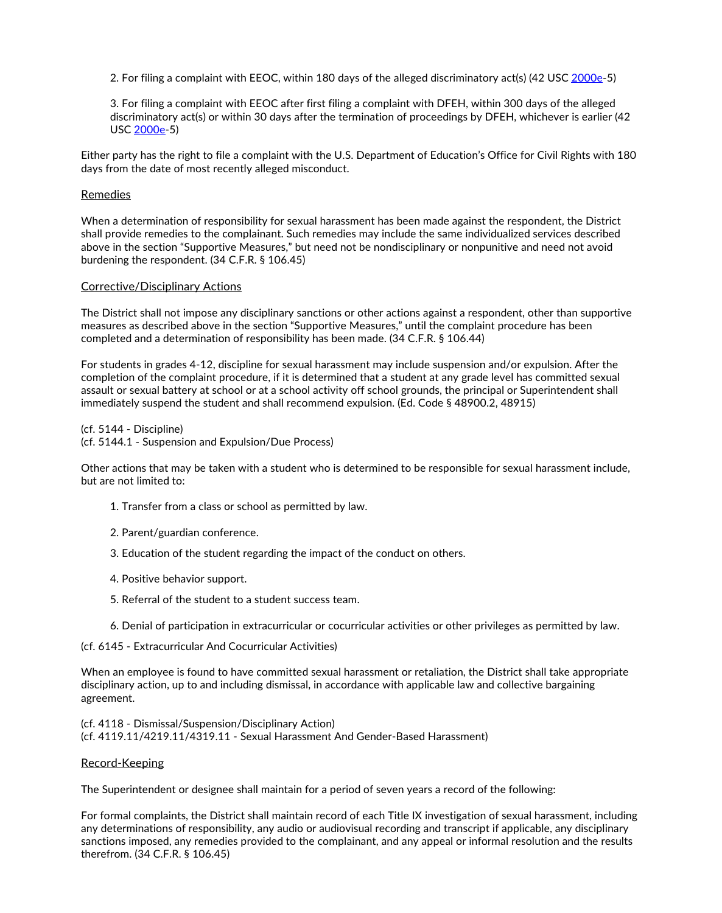2. For filing a complaint with EEOC, within 180 days of the alleged discriminatory act(s) (42 USC 2000e-5)

3. For filing a complaint with EEOC after first filing a complaint with DFEH, within 300 days of the alleged discriminatory act(s) or within 30 days after the termination of proceedings by DFEH, whichever is earlier (42 USC 2000e-5)

Either party has the right to file a complaint with the U.S. Department of Education's Office for Civil Rights with 180 days from the date of most recently alleged misconduct.

## Remedies

When a determination of responsibility for sexual harassment has been made against the respondent, the District shall provide remedies to the complainant. Such remedies may include the same individualized services described above in the section "Supportive Measures," but need not be nondisciplinary or nonpunitive and need not avoid burdening the respondent. (34 C.F.R. § 106.45)

## Corrective/Disciplinary Actions

The District shall not impose any disciplinary sanctions or other actions against a respondent, other than supportive measures as described above in the section "Supportive Measures," until the complaint procedure has been completed and a determination of responsibility has been made. (34 C.F.R. § 106.44)

For students in grades 4-12, discipline for sexual harassment may include suspension and/or expulsion. After the completion of the complaint procedure, if it is determined that a student at any grade level has committed sexual assault or sexual battery at school or at a school activity off school grounds, the principal or Superintendent shall immediately suspend the student and shall recommend expulsion. (Ed. Code § 48900.2, 48915)

(cf. 5144 - Discipline) (cf. 5144.1 - Suspension and Expulsion/Due Process)

Other actions that may be taken with a student who is determined to be responsible for sexual harassment include,<br>but are not limited to:

- 1. Transfer from a class or school as permitted by law.
- 2. Parent/guardian conference.
- 3. Education of the student regarding the impact of the conduct on others.
- 4. Positive behavior support.
- 5. Referral of the student to a student success team.
- 6. Denial of participation in extracurricular or cocurricular activities or other privileges as permitted by law.

(cf. 6145 - Extracurricular And Cocurricular Activities)

When an employee is found to have committed sexual harassment or retaliation, the District shall take appropriate disciplinary action, up to and including dismissal, in accordance with applicable law and collective bargaining agreement.

(cf. 4118 - Dismissal/Suspension/Disciplinary Action) (cf. 4119.11/4219.11/4319.11 - Sexual Harassment And Gender-Based Harassment)

#### Record-Keeping

The Superintendent or designee shall maintain for a period of seven years a record of the following:

For formal complaints, the District shall maintain record of each Title IX investigation of sexual harassment, including any determinations of responsibility, any audio or audiovisual recording and transcript if applicable, any disciplinary sanctions imposed, any remedies provided to the complainant, and any appeal or informal resolution and the results therefrom. (34 C.F.R. § 106.45)